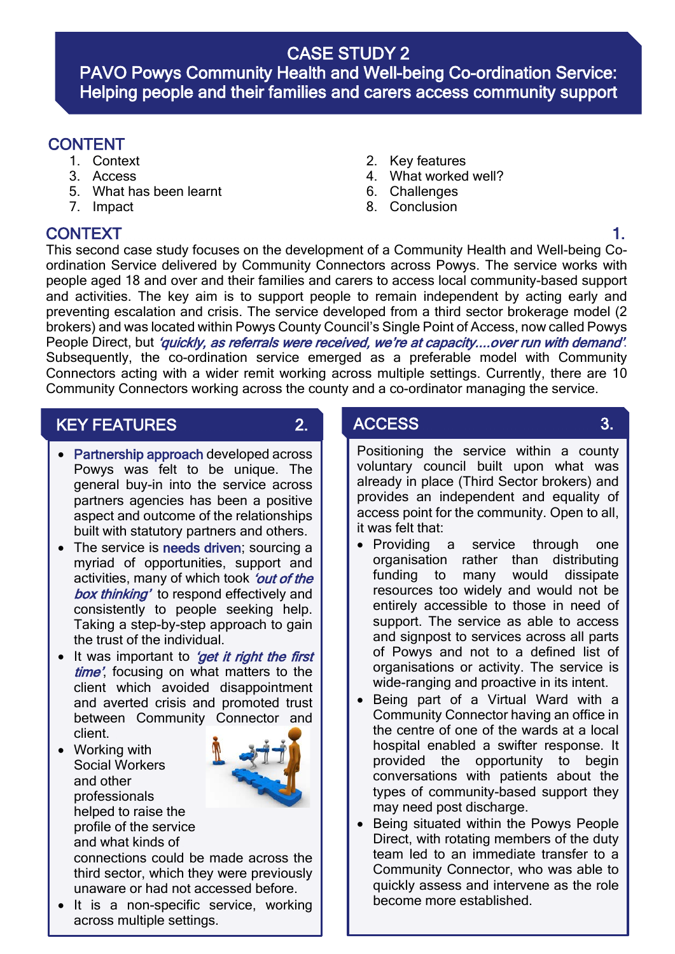## CASE STUDY 2

PAVO Powys Community Health and Well-being Co-ordination Service: Helping people and their families and carers access community support

- 
- 
- 5. What has been learnt
- 7. Impact

l

.<br>I I

- CONTENT 1. Context 2. Key features
	- 3. Access 4. What worked well?
		- 6. Challenges
		- 8. Conclusion

CONTEXT 1. This second case study focuses on the development of a Community Health and Well-being Coordination Service delivered by Community Connectors across Powys. The service works with people aged 18 and over and their families and carers to access local community-based support and activities. The key aim is to support people to remain independent by acting early and preventing escalation and crisis. The service developed from a third sector brokerage model (2 brokers) and was located within Powys County Council's Single Point of Access, now called Powys People Direct, but 'quickly, as referrals were received, we're at capacity....over run with demand'. Subsequently, the co-ordination service emerged as a preferable model with Community Connectors acting with a wider remit working across multiple settings. Currently, there are 10 Community Connectors working across the county and a co-ordinator managing the service.

## KEY FEATURES 2.

- 
- I • Partnership approach developed across Powys was felt to be unique. The general buy-in into the service across partners agencies has been a positive aspect and outcome of the relationships built with statutory partners and others.
- The service is needs driven; sourcing a myriad of opportunities, support and activities, many of which took 'out of the box thinking' to respond effectively and consistently to people seeking help. Taking a step-by-step approach to gain the trust of the individual.
- It was important to 'get it right the first time' focusing on what matters to the client which avoided disappointment and averted crisis and promoted trust between Community Connector and client.
- Working with Social Workers and other professionals helped to raise the profile of the service and what kinds of



connections could be made across the third sector, which they were previously unaware or had not accessed before.

It is a non-specific service, working across multiple settings.

# ACCESS 3.

- Positioning the service within a county voluntary council built upon what was already in place (Third Sector brokers) and provides an independent and equality of access point for the community. Open to all, it was felt that:
- Providing a service through one organisation rather than distributing funding to many would dissipate resources too widely and would not be entirely accessible to those in need of support. The service as able to access and signpost to services across all parts of Powys and not to a defined list of organisations or activity. The service is wide-ranging and proactive in its intent.
- Being part of a Virtual Ward with a Community Connector having an office in the centre of one of the wards at a local hospital enabled a swifter response. It provided the opportunity to begin conversations with patients about the types of community-based support they may need post discharge.
- Being situated within the Powys People Direct, with rotating members of the duty team led to an immediate transfer to a Community Connector, who was able to quickly assess and intervene as the role become more established.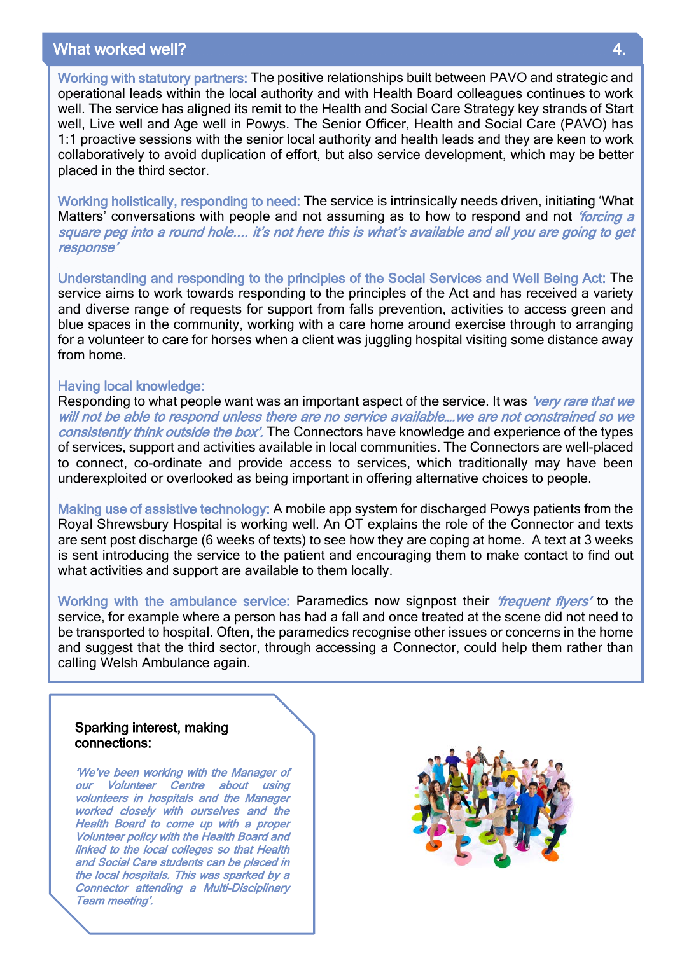## What worked well?

Working with statutory partners: The positive relationships built between PAVO and strategic and operational leads within the local authority and with Health Board colleagues continues to work well. The service has aligned its remit to the Health and Social Care Strategy key strands of Start well, Live well and Age well in Powys. The Senior Officer, Health and Social Care (PAVO) has 1:1 proactive sessions with the senior local authority and health leads and they are keen to work collaboratively to avoid duplication of effort, but also service development, which may be better placed in the third sector.

Working holistically, responding to need: The service is intrinsically needs driven, initiating 'What Matters' conversations with people and not assuming as to how to respond and not *'forcing a* square peg into a round hole.... it's not here this is what's available and all you are going to get response'

Understanding and responding to the principles of the Social Services and Well Being Act: The service aims to work towards responding to the principles of the Act and has received a variety and diverse range of requests for support from falls prevention, activities to access green and blue spaces in the community, working with a care home around exercise through to arranging for a volunteer to care for horses when a client was juggling hospital visiting some distance away from home.

#### Having local knowledge:

Responding to what people want was an important aspect of the service. It was *'very rare that we* will not be able to respond unless there are no service available….we are not constrained so we consistently think outside the box'. The Connectors have knowledge and experience of the types of services, support and activities available in local communities. The Connectors are well-placed to connect, co-ordinate and provide access to services, which traditionally may have been underexploited or overlooked as being important in offering alternative choices to people.

Making use of assistive technology: A mobile app system for discharged Powys patients from the Royal Shrewsbury Hospital is working well. An OT explains the role of the Connector and texts are sent post discharge (6 weeks of texts) to see how they are coping at home. A text at 3 weeks is sent introducing the service to the patient and encouraging them to make contact to find out what activities and support are available to them locally.

Working with the ambulance service: Paramedics now signpost their *'frequent flyers'* to the service, for example where a person has had a fall and once treated at the scene did not need to be transported to hospital. Often, the paramedics recognise other issues or concerns in the home and suggest that the third sector, through accessing a Connector, could help them rather than calling Welsh Ambulance again.

## Sparking interest, making connections:

 $\overline{a}$ 

'We've been working with the Manager of our Volunteer Centre about using volunteers in hospitals and the Manager worked closely with ourselves and the Health Board to come up with a proper Volunteer policy with the Health Board and linked to the local colleges so that Health and Social Care students can be placed in the local hospitals. This was sparked by a Connector attending a Multi-Disciplinary Team meeting'.

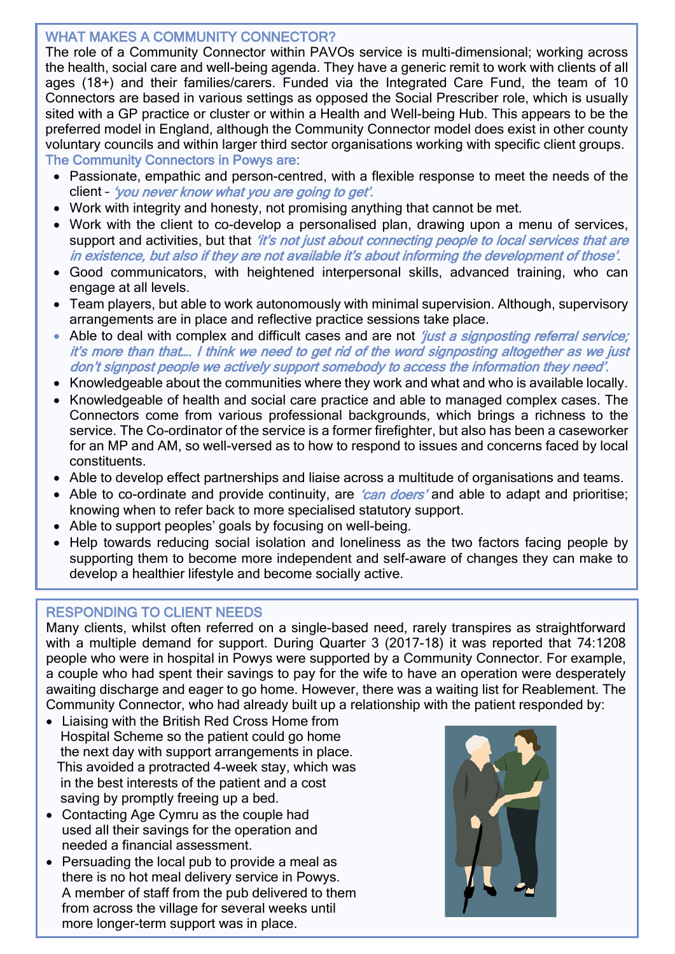## WHAT MAKES A COMMUNITY CONNECTOR?

The role of a Community Connector within PAVOs service is multi-dimensional; working across the health, social care and well-being agenda. They have a generic remit to work with clients of all ages (18+) and their families/carers. Funded via the Integrated Care Fund, the team of 10 Connectors are based in various settings as opposed the Social Prescriber role, which is usually sited with a GP practice or cluster or within a Health and Well-being Hub. This appears to be the preferred model in England, although the Community Connector model does exist in other county voluntary councils and within larger third sector organisations working with specific client groups. The Community Connectors in Powys are:

- Passionate, empathic and person-centred, with a flexible response to meet the needs of the client – 'you never know what you are going to get'.
- Work with integrity and honesty, not promising anything that cannot be met.
- Work with the client to co-develop a personalised plan, drawing upon a menu of services, support and activities, but that 'it's not just about connecting people to local services that are in existence, but also if they are not available it's about informing the development of those'.
- Good communicators, with heightened interpersonal skills, advanced training, who can engage at all levels.
- Team players, but able to work autonomously with minimal supervision. Although, supervisory arrangements are in place and reflective practice sessions take place.
- Able to deal with complex and difficult cases and are not *'just a signposting referral service;* it's more than that…. I think we need to get rid of the word signposting altogether as we just don't signpost people we actively support somebody to access the information they need'.
- Knowledgeable about the communities where they work and what and who is available locally.
- Knowledgeable of health and social care practice and able to managed complex cases. The Connectors come from various professional backgrounds, which brings a richness to the service. The Co-ordinator of the service is a former firefighter, but also has been a caseworker for an MP and AM, so well-versed as to how to respond to issues and concerns faced by local constituents.
- Able to develop effect partnerships and liaise across a multitude of organisations and teams.
- Able to co-ordinate and provide continuity, are *'can doers'* and able to adapt and prioritise; knowing when to refer back to more specialised statutory support.
- Able to support peoples' goals by focusing on well-being.
- Help towards reducing social isolation and loneliness as the two factors facing people by supporting them to become more independent and self-aware of changes they can make to develop a healthier lifestyle and become socially active.

## RESPONDING TO CLIENT NEEDS

 Many clients, whilst often referred on a single-based need, rarely transpires as straightforward with a multiple demand for support. During Quarter 3 (2017-18) it was reported that 74:1208 where managing definant for support. During Quarter 5 (2017-10) it was reported that 74.1200<br>people who were in hospital in Powys were supported by a Community Connector. For example, a couple who had spent their savings to pay for the wife to have an operation were desperately awaiting discharge and eager to go home. However, there was a waiting list for Reablement. The awalling discharge and eager to go nome. However, there was a walling list for Neablement.<br>Community Connector, who had already built up a relationship with the patient responded by:

- Liaising with the British Red Cross Home from Hospital Scheme so the patient could go home the next day with support arrangements in place. This avoided a protracted 4-week stay, which was in the best interests of the patient and a cost saving by promptly freeing up a bed.
- Contacting Age Cymru as the couple had used all their savings for the operation and needed a financial assessment.
- Persuading the local pub to provide a meal as there is no hot meal delivery service in Powys. A member of staff from the pub delivered to them from across the village for several weeks until more longer-term support was in place.

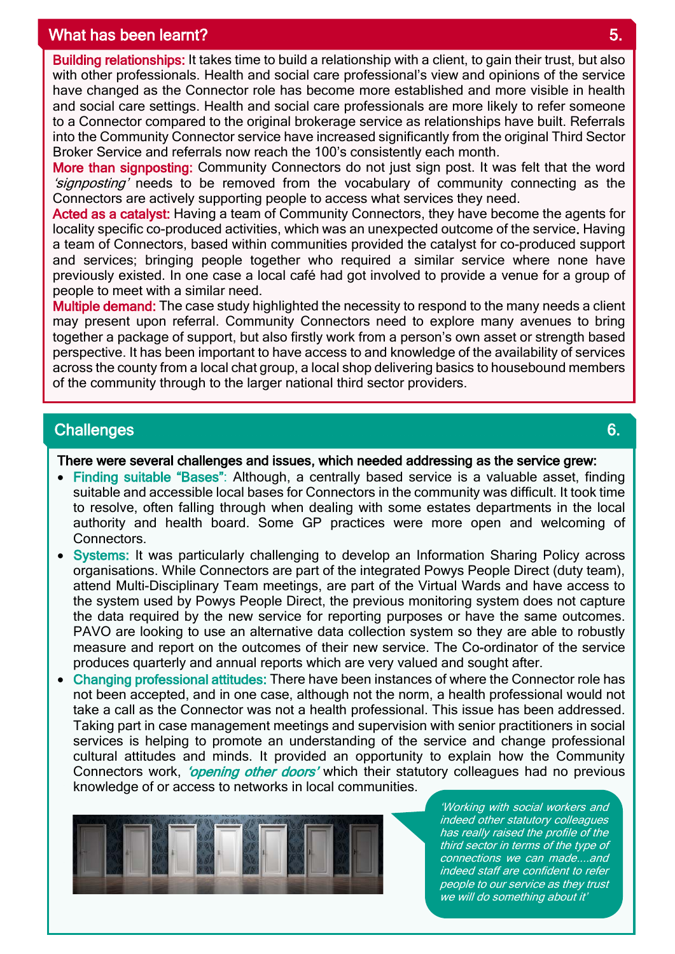## what has been learnt? The second state of the second state  $5.5$

Building relationships: It takes time to build a relationship with a client, to gain their trust, but also with other professionals. Health and social care professional's view and opinions of the service have changed as the Connector role has become more established and more visible in health and social care settings. Health and social care professionals are more likely to refer someone to a Connector compared to the original brokerage service as relationships have built. Referrals into the Community Connector service have increased significantly from the original Third Sector Broker Service and referrals now reach the 100's consistently each month.

More than signposting: Community Connectors do not just sign post. It was felt that the word 'signposting' needs to be removed from the vocabulary of community connecting as the Connectors are actively supporting people to access what services they need.

Acted as a catalyst: Having a team of Community Connectors, they have become the agents for locality specific co-produced activities, which was an unexpected outcome of the service. Having a team of Connectors, based within communities provided the catalyst for co-produced support and services; bringing people together who required a similar service where none have previously existed. In one case a local café had got involved to provide a venue for a group of people to meet with a similar need.

Multiple demand: The case study highlighted the necessity to respond to the many needs a client may present upon referral. Community Connectors need to explore many avenues to bring together a package of support, but also firstly work from a person's own asset or strength based perspective. It has been important to have access to and knowledge of the availability of services across the county from a local chat group, a local shop delivering basics to housebound members of the community through to the larger national third sector providers.

## Challenges **6.** Challenges **6.** Challenges **6.** Challenges **6.** Challenges **6.** Challenges **6.**

I

I I

I I I I There were several challenges and issues, which needed addressing as the service grew:

- Finding suitable "Bases": Although, a centrally based service is a valuable asset, finding suitable and accessible local bases for Connectors in the community was difficult. It took time to resolve, often falling through when dealing with some estates departments in the local authority and health board. Some GP practices were more open and welcoming of Connectors.
- Systems: It was particularly challenging to develop an Information Sharing Policy across organisations. While Connectors are part of the integrated Powys People Direct (duty team), attend Multi-Disciplinary Team meetings, are part of the Virtual Wards and have access to the system used by Powys People Direct, the previous monitoring system does not capture the data required by the new service for reporting purposes or have the same outcomes. PAVO are looking to use an alternative data collection system so they are able to robustly measure and report on the outcomes of their new service. The Co-ordinator of the service produces quarterly and annual reports which are very valued and sought after.

• Changing professional attitudes: There have been instances of where the Connector role has 4. not been accepted, and in one case, although not the norm, a health professional would not take a call as the Connector was not a health professional. This issue has been addressed. Taking part in case management meetings and supervision with senior practitioners in social services is helping to promote an understanding of the service and change professional cultural attitudes and minds. It provided an opportunity to explain how the Community Connectors work, *'opening other doors'* which their statutory colleagues had no previous knowledge of or access to networks in local communities.



'Working with social workers and indeed other statutory colleagues has really raised the profile of the third sector in terms of the type of connections we can made....and indeed staff are confident to refer people to our service as they trust we will do something about it'